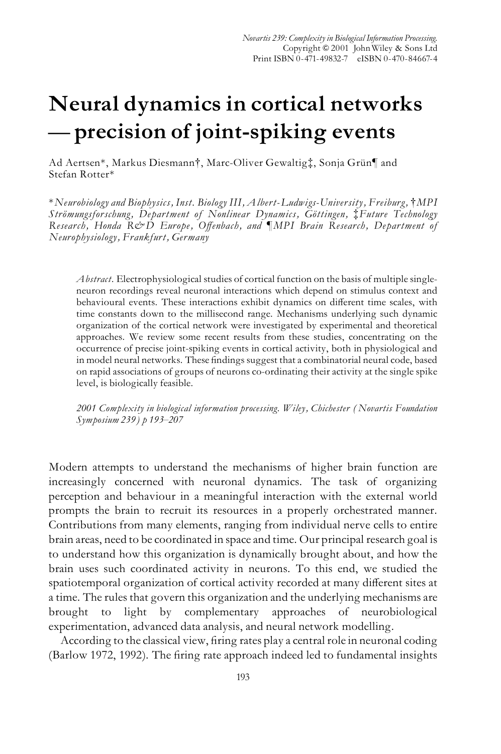# Neural dynamics in cortical networks - precision of joint-spiking events

Ad Aertsen\*, Markus Diesmann†, Marc-Oliver Gewaltig‡, Sonja Grün¶ and Stefan Rotter\*

\* Neurobiology and Biophysics, Inst. Biology III, Albert-Ludwigs-University, Freiburg, † MPI Strömungsforschung, Department of Nonlinear Dynamics, Göttingen, TFuture Technology Research, Honda R&D Europe, Offenbach, and MPI Brain Research, Department of Neurophysiology, Frankfurt, Germany

Abstract. Electrophysiological studies of cortical function on the basis of multiple singleneuron recordings reveal neuronal interactions which depend on stimulus context and behavioural events. These interactions exhibit dynamics on different time scales, with time constants down to the millisecond range. Mechanisms underlying such dynamic organization of the cortical network were investigated by experimental and theoretical approaches. We review some recent results from these studies, concentrating on the occurrence of precise joint-spiking events in cortical activity, both in physiological and in model neural networks. These findings suggest that a combinatorial neural code, based on rapid associations of groups of neurons co-ordinating their activity at the single spike level, is biologically feasible.

2001 Complexity in biological information processing. Wiley, Chichester (Novartis Foundation Symposium 239) p 193-207

Modern attempts to understand the mechanisms of higher brain function are increasingly concerned with neuronal dynamics. The task of organizing perception and behaviour in a meaningful interaction with the external world prompts the brain to recruit its resources in a properly orchestrated manner. Contributions from many elements, ranging from individual nerve cells to entire brain areas, need to be coordinated in space and time. Our principal research goal is to understand how this organization is dynamically brought about, and how the brain uses such coordinated activity in neurons. To this end, we studied the spatiotemporal organization of cortical activity recorded at many different sites at a time. The rules that govern this organization and the underlying mechanisms are brought to light by complementary approaches of neurobiological experimentation, advanced data analysis, and neural network modelling.

According to the classical view, firing rates play a central role in neuronal coding (Barlow 1972, 1992). The firing rate approach indeed led to fundamental insights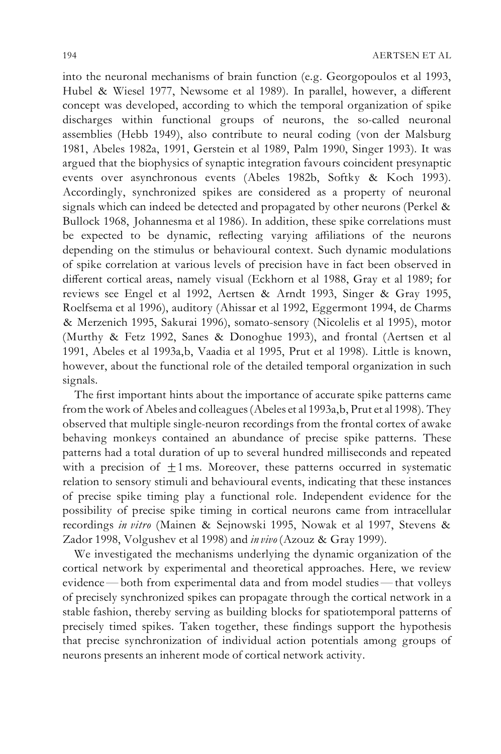into the neuronal mechanisms of brain function (e.g. Georgopoulos et al 1993, Hubel & Wiesel 1977, Newsome et al 1989). In parallel, however, a different concept was developed, according to which the temporal organization of spike discharges within functional groups of neurons, the so-called neuronal assemblies (Hebb 1949), also contribute to neural coding (von der Malsburg 1981, Abeles 1982a, 1991, Gerstein et al 1989, Palm 1990, Singer 1993). It was argued that the biophysics of synaptic integration favours coincident presynaptic events over asynchronous events (Abeles 1982b, Softky & Koch 1993). Accordingly, synchronized spikes are considered as a property of neuronal signals which can indeed be detected and propagated by other neurons (Perkel & Bullock 1968, Johannesma et al 1986). In addition, these spike correlations must be expected to be dynamic, reflecting varying affiliations of the neurons depending on the stimulus or behavioural context. Such dynamic modulations of spike correlation at various levels of precision have in fact been observed in different cortical areas, namely visual (Eckhorn et al 1988, Gray et al 1989; for reviews see Engel et al 1992, Aertsen & Arndt 1993, Singer & Gray 1995, Roelfsema et al 1996), auditory (Ahissar et al 1992, Eggermont 1994, de Charms & Merzenich 1995, Sakurai 1996), somato-sensory (Nicolelis et al 1995), motor (Murthy & Fetz 1992, Sanes & Donoghue 1993), and frontal (Aertsen et al 1991, Abeles et al 1993a, b, Vaadia et al 1995, Prut et al 1998). Little is known, however, about the functional role of the detailed temporal organization in such signals.

The first important hints about the importance of accurate spike patterns came from the work of Abeles and colleagues (Abeles et al 1993a, b, Prut et al 1998). They observed that multiple single-neuron recordings from the frontal cortex of awake behaving monkeys contained an abundance of precise spike patterns. These patterns had a total duration of up to several hundred milliseconds and repeated with a precision of  $\pm 1$  ms. Moreover, these patterns occurred in systematic relation to sensory stimuli and behavioural events, indicating that these instances of precise spike timing play a functional role. Independent evidence for the possibility of precise spike timing in cortical neurons came from intracellular recordings in vitro (Mainen & Sejnowski 1995, Nowak et al 1997, Stevens & Zador 1998, Volgushev et al 1998) and in vivo (Azouz & Gray 1999).

We investigated the mechanisms underlying the dynamic organization of the cortical network by experimental and theoretical approaches. Here, we review evidence-both from experimental data and from model studies-that volleys of precisely synchronized spikes can propagate through the cortical network in a stable fashion, thereby serving as building blocks for spatiotemporal patterns of precisely timed spikes. Taken together, these findings support the hypothesis that precise synchronization of individual action potentials among groups of neurons presents an inherent mode of cortical network activity.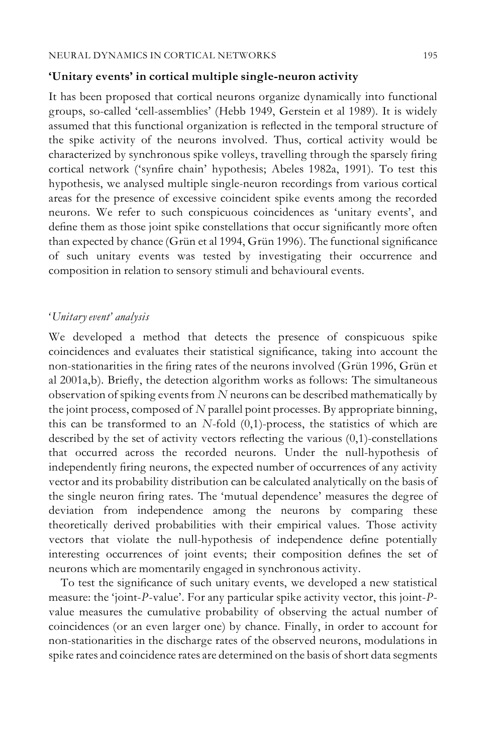## 'Unitary events' in cortical multiple single-neuron activity

It has been proposed that cortical neurons organize dynamically into functional groups, so-called 'cell-assemblies' (Hebb 1949, Gerstein et al 1989). It is widely assumed that this functional organization is reflected in the temporal structure of the spike activity of the neurons involved. Thus, cortical activity would be characterized by synchronous spike volleys, travelling through the sparsely firing cortical network ('synfire chain' hypothesis; Abeles 1982a, 1991). To test this hypothesis, we analysed multiple single-neuron recordings from various cortical areas for the presence of excessive coincident spike events among the recorded neurons. We refer to such conspicuous coincidences as 'unitary events', and define them as those joint spike constellations that occur significantly more often than expected by chance (Grün et al 1994, Grün 1996). The functional significance of such unitary events was tested by investigating their occurrence and composition in relation to sensory stimuli and behavioural events.

### 'Unitary event' analysis

We developed a method that detects the presence of conspicuous spike coincidences and evaluates their statistical significance, taking into account the non-stationarities in the firing rates of the neurons involved (Grün 1996, Grün et al 2001a,b). Briefly, the detection algorithm works as follows: The simultaneous observation of spiking events from  $N$  neurons can be described mathematically by the joint process, composed of N parallel point processes. By appropriate binning, this can be transformed to an  $N$ -fold  $(0,1)$ -process, the statistics of which are described by the set of activity vectors reflecting the various  $(0,1)$ -constellations that occurred across the recorded neurons. Under the null-hypothesis of independently firing neurons, the expected number of occurrences of any activity vector and its probability distribution can be calculated analytically on the basis of the single neuron firing rates. The 'mutual dependence' measures the degree of deviation from independence among the neurons by comparing these theoretically derived probabilities with their empirical values. Those activity vectors that violate the null-hypothesis of independence define potentially interesting occurrences of joint events; their composition defines the set of neurons which are momentarily engaged in synchronous activity.

To test the significance of such unitary events, we developed a new statistical measure: the 'joint-P-value'. For any particular spike activity vector, this joint-Pvalue measures the cumulative probability of observing the actual number of coincidences (or an even larger one) by chance. Finally, in order to account for non-stationarities in the discharge rates of the observed neurons, modulations in spike rates and coincidence rates are determined on the basis of short data segments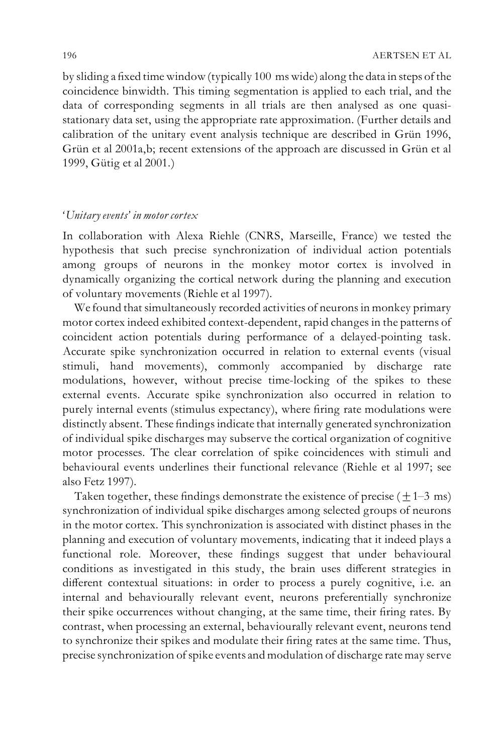by sliding a fixed time window (typically 100 ms wide) along the data in steps of the coincidence binwidth. This timing segmentation is applied to each trial, and the data of corresponding segments in all trials are then analysed as one quasistationary data set, using the appropriate rate approximation. (Further details and calibration of the unitary event analysis technique are described in Grün 1996, Grün et al 2001a, b; recent extensions of the approach are discussed in Grün et al 1999, Gütig et al 2001.)

#### 'Unitary events' in motor cortex

In collaboration with Alexa Riehle (CNRS, Marseille, France) we tested the hypothesis that such precise synchronization of individual action potentials among groups of neurons in the monkey motor cortex is involved in dynamically organizing the cortical network during the planning and execution of voluntary movements (Riehle et al 1997).

We found that simultaneously recorded activities of neurons in monkey primary motor cortex indeed exhibited context-dependent, rapid changes in the patterns of coincident action potentials during performance of a delayed-pointing task. Accurate spike synchronization occurred in relation to external events (visual stimuli, hand movements), commonly accompanied by discharge rate modulations, however, without precise time-locking of the spikes to these external events. Accurate spike synchronization also occurred in relation to purely internal events (stimulus expectancy), where firing rate modulations were distinctly absent. These findings indicate that internally generated synchronization of individual spike discharges may subserve the cortical organization of cognitive motor processes. The clear correlation of spike coincidences with stimuli and behavioural events underlines their functional relevance (Riehle et al 1997; see also Fetz 1997).

Taken together, these findings demonstrate the existence of precise ( $\pm$ 1-3 ms) synchronization of individual spike discharges among selected groups of neurons in the motor cortex. This synchronization is associated with distinct phases in the planning and execution of voluntary movements, indicating that it indeed plays a functional role. Moreover, these findings suggest that under behavioural conditions as investigated in this study, the brain uses different strategies in different contextual situations: in order to process a purely cognitive, i.e. an internal and behaviourally relevant event, neurons preferentially synchronize their spike occurrences without changing, at the same time, their firing rates. By contrast, when processing an external, behaviourally relevant event, neurons tend to synchronize their spikes and modulate their firing rates at the same time. Thus, precise synchronization of spike events and modulation of discharge rate may serve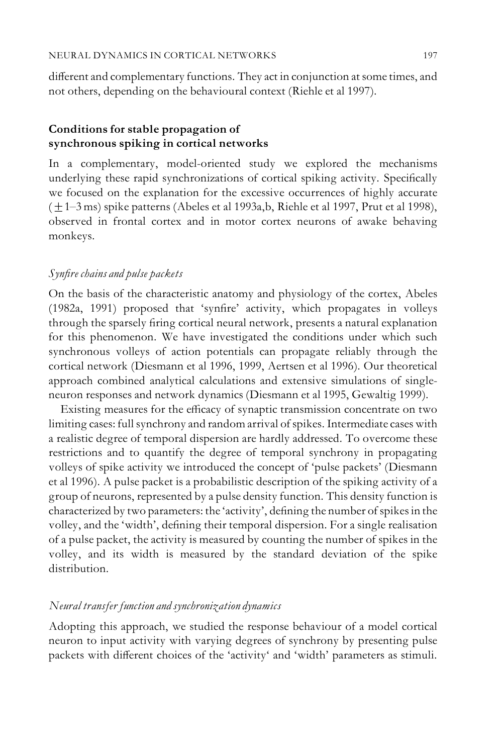different and complementary functions. They act in conjunction at some times, and not others, depending on the behavioural context (Riehle et al 1997).

# Conditions for stable propagation of synchronous spiking in cortical networks

In a complementary, model-oriented study we explored the mechanisms underlying these rapid synchronizations of cortical spiking activity. Specifically we focused on the explanation for the excessive occurrences of highly accurate  $(\pm 1 - 3 \,\text{ms})$  spike patterns (Abeles et al 1993a, b, Riehle et al 1997, Prut et al 1998), observed in frontal cortex and in motor cortex neurons of awake behaving monkeys.

## Synfire chains and pulse packets

On the basis of the characteristic anatomy and physiology of the cortex, Abeles (1982a, 1991) proposed that 'synfire' activity, which propagates in volleys through the sparsely firing cortical neural network, presents a natural explanation for this phenomenon. We have investigated the conditions under which such synchronous volleys of action potentials can propagate reliably through the cortical network (Diesmann et al 1996, 1999, Aertsen et al 1996). Our theoretical approach combined analytical calculations and extensive simulations of singleneuron responses and network dynamics (Diesmann et al 1995, Gewaltig 1999).

Existing measures for the efficacy of synaptic transmission concentrate on two limiting cases: full synchrony and random arrival of spikes. Intermediate cases with a realistic degree of temporal dispersion are hardly addressed. To overcome these restrictions and to quantify the degree of temporal synchrony in propagating volleys of spike activity we introduced the concept of 'pulse packets' (Diesmann et al 1996). A pulse packet is a probabilistic description of the spiking activity of a group of neurons, represented by a pulse density function. This density function is characterized by two parameters: the 'activity', defining the number of spikes in the volley, and the 'width', defining their temporal dispersion. For a single realisation of a pulse packet, the activity is measured by counting the number of spikes in the volley, and its width is measured by the standard deviation of the spike distribution.

## Neural transfer function and synchronization dynamics

Adopting this approach, we studied the response behaviour of a model cortical neuron to input activity with varying degrees of synchrony by presenting pulse packets with different choices of the 'activity' and 'width' parameters as stimuli.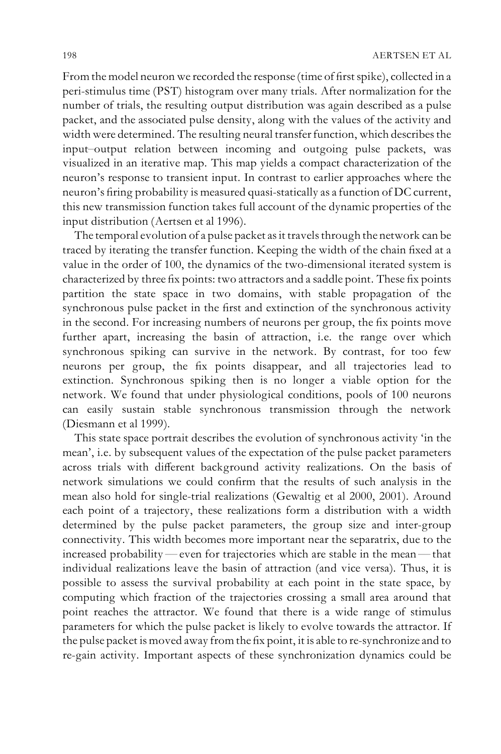From the model neuron we recorded the response (time of first spike), collected in a peri-stimulus time (PST) histogram over many trials. After normalization for the number of trials, the resulting output distribution was again described as a pulse packet, and the associated pulse density, along with the values of the activity and width were determined. The resulting neural transfer function, which describes the input-output relation between incoming and outgoing pulse packets, was visualized in an iterative map. This map yields a compact characterization of the neuron's response to transient input. In contrast to earlier approaches where the neuron's firing probability is measured quasi-statically as a function of DC current, this new transmission function takes full account of the dynamic properties of the input distribution (Aertsen et al 1996).

The temporal evolution of a pulse packet as it travels through the network can be traced by iterating the transfer function. Keeping the width of the chain fixed at a value in the order of 100, the dynamics of the two-dimensional iterated system is characterized by three fix points: two attractors and a saddle point. These fix points partition the state space in two domains, with stable propagation of the synchronous pulse packet in the first and extinction of the synchronous activity in the second. For increasing numbers of neurons per group, the fix points move further apart, increasing the basin of attraction, i.e. the range over which synchronous spiking can survive in the network. By contrast, for too few neurons per group, the fix points disappear, and all trajectories lead to extinction. Synchronous spiking then is no longer a viable option for the network. We found that under physiological conditions, pools of 100 neurons can easily sustain stable synchronous transmission through the network (Diesmann et al 1999).

This state space portrait describes the evolution of synchronous activity 'in the mean', i.e. by subsequent values of the expectation of the pulse packet parameters across trials with different background activity realizations. On the basis of network simulations we could confirm that the results of such analysis in the mean also hold for single-trial realizations (Gewaltig et al 2000, 2001). Around each point of a trajectory, these realizations form a distribution with a width determined by the pulse packet parameters, the group size and inter-group connectivity. This width becomes more important near the separatrix, due to the increased probability — even for trajectories which are stable in the mean — that individual realizations leave the basin of attraction (and vice versa). Thus, it is possible to assess the survival probability at each point in the state space, by computing which fraction of the trajectories crossing a small area around that point reaches the attractor. We found that there is a wide range of stimulus parameters for which the pulse packet is likely to evolve towards the attractor. If the pulse packet is moved away from the fix point, it is able to re-synchronize and to re-gain activity. Important aspects of these synchronization dynamics could be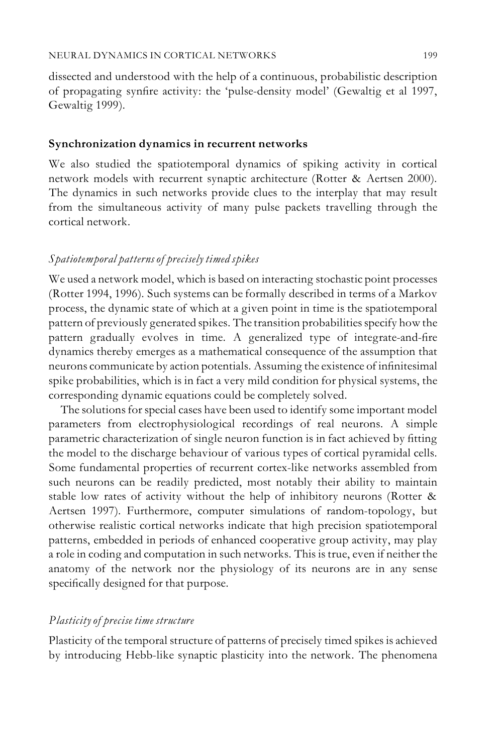dissected and understood with the help of a continuous, probabilistic description of propagating synfire activity: the 'pulse-density model' (Gewaltig et al 1997, Gewaltig 1999).

### Synchronization dynamics in recurrent networks

We also studied the spatiotemporal dynamics of spiking activity in cortical network models with recurrent synaptic architecture (Rotter & Aertsen 2000). The dynamics in such networks provide clues to the interplay that may result from the simultaneous activity of many pulse packets travelling through the cortical network.

# Spatiotemporal patterns of precisely timed spikes

We used a network model, which is based on interacting stochastic point processes (Rotter 1994, 1996). Such systems can be formally described in terms of a Markov process, the dynamic state of which at a given point in time is the spatiotemporal pattern of previously generated spikes. The transition probabilities specify how the pattern gradually evolves in time. A generalized type of integrate-and-fire dynamics thereby emerges as a mathematical consequence of the assumption that neurons communicate by action potentials. Assuming the existence of infinitesimal spike probabilities, which is in fact a very mild condition for physical systems, the corresponding dynamic equations could be completely solved.

The solutions for special cases have been used to identify some important model parameters from electrophysiological recordings of real neurons. A simple parametric characterization of single neuron function is in fact achieved by fitting the model to the discharge behaviour of various types of cortical pyramidal cells. Some fundamental properties of recurrent cortex-like networks assembled from such neurons can be readily predicted, most notably their ability to maintain stable low rates of activity without the help of inhibitory neurons (Rotter & Aertsen 1997). Furthermore, computer simulations of random-topology, but otherwise realistic cortical networks indicate that high precision spatiotemporal patterns, embedded in periods of enhanced cooperative group activity, may play a role in coding and computation in such networks. This is true, even if neither the anatomy of the network nor the physiology of its neurons are in any sense specifically designed for that purpose.

## Plasticity of precise time structure

Plasticity of the temporal structure of patterns of precisely timed spikes is achieved by introducing Hebb-like synaptic plasticity into the network. The phenomena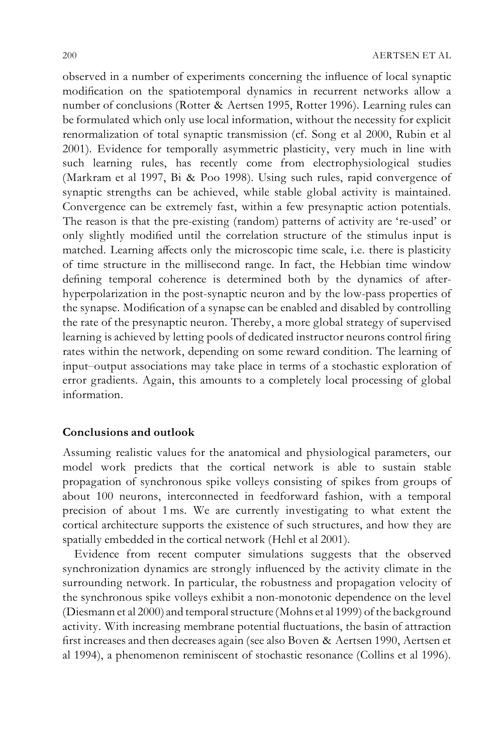observed in a number of experiments concerning the influence of local synaptic modification on the spatiotemporal dynamics in recurrent networks allow a number of conclusions (Rotter & Aertsen 1995, Rotter 1996). Learning rules can be formulated which only use local information, without the necessity for explicit renormalization of total synaptic transmission (cf. Song et al 2000, Rubin et al 2001). Evidence for temporally asymmetric plasticity, very much in line with such learning rules, has recently come from electrophysiological studies (Markram et al 1997, Bi & Poo 1998). Using such rules, rapid convergence of synaptic strengths can be achieved, while stable global activity is maintained. Convergence can be extremely fast, within a few presynaptic action potentials. The reason is that the pre-existing (random) patterns of activity are 're-used' or only slightly modified until the correlation structure of the stimulus input is matched. Learning affects only the microscopic time scale, i.e. there is plasticity of time structure in the millisecond range. In fact, the Hebbian time window defining temporal coherence is determined both by the dynamics of afterhyperpolarization in the post-synaptic neuron and by the low-pass properties of the synapse. Modification of a synapse can be enabled and disabled by controlling the rate of the presynaptic neuron. Thereby, a more global strategy of supervised learning is achieved by letting pools of dedicated instructor neurons control firing rates within the network, depending on some reward condition. The learning of input-output associations may take place in terms of a stochastic exploration of error gradients. Again, this amounts to a completely local processing of global information.

## Conclusions and outlook

Assuming realistic values for the anatomical and physiological parameters, our model work predicts that the cortical network is able to sustain stable propagation of synchronous spike volleys consisting of spikes from groups of about 100 neurons, interconnected in feedforward fashion, with a temporal precision of about 1 ms. We are currently investigating to what extent the cortical architecture supports the existence of such structures, and how they are spatially embedded in the cortical network (Hehl et al 2001).

Evidence from recent computer simulations suggests that the observed synchronization dynamics are strongly influenced by the activity climate in the surrounding network. In particular, the robustness and propagation velocity of the synchronous spike volleys exhibit a non-monotonic dependence on the level (Diesmann et al 2000) and temporal structure (Mohns et al 1999) of the background activity. With increasing membrane potential fluctuations, the basin of attraction first increases and then decreases again (see also Boven & Aertsen 1990, Aertsen et al 1994), a phenomenon reminiscent of stochastic resonance (Collins et al 1996).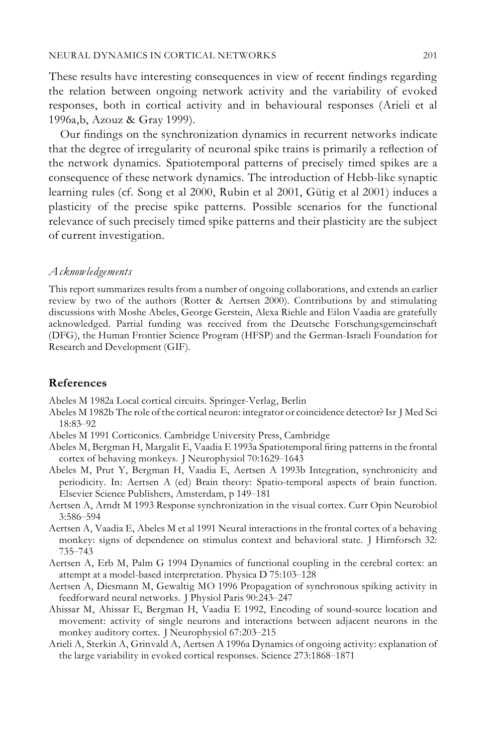#### NEURAL DYNAMICS IN CORTICAL NETWORKS

These results have interesting consequences in view of recent findings regarding the relation between ongoing network activity and the variability of evoked responses, both in cortical activity and in behavioural responses (Arieli et al 1996a, b, Azouz & Gray 1999).

Our findings on the synchronization dynamics in recurrent networks indicate that the degree of irregularity of neuronal spike trains is primarily a reflection of the network dynamics. Spatiotemporal patterns of precisely timed spikes are a consequence of these network dynamics. The introduction of Hebb-like synaptic learning rules (cf. Song et al 2000, Rubin et al 2001, Gütig et al 2001) induces a plasticity of the precise spike patterns. Possible scenarios for the functional relevance of such precisely timed spike patterns and their plasticity are the subject of current investigation.

## A cknowledgements

This report summarizes results from a number of ongoing collaborations, and extends an earlier review by two of the authors (Rotter & Aertsen 2000). Contributions by and stimulating discussions with Moshe Abeles, George Gerstein, Alexa Riehle and Eilon Vaadia are gratefully acknowledged. Partial funding was received from the Deutsche Forschungsgemeinschaft (DFG), the Human Frontier Science Program (HFSP) and the German-Israeli Foundation for Research and Development (GIF).

## References

Abeles M 1982a Local cortical circuits. Springer-Verlag, Berlin

- Abeles M 1982b The role of the cortical neuron: integrator or coincidence detector? Isr J Med Sci 18:83-92
- Abeles M 1991 Corticonics. Cambridge University Press, Cambridge
- Abeles M, Bergman H, Margalit E, Vaadia E 1993a Spatiotemporal firing patterns in the frontal cortex of behaving monkeys. J Neurophysiol 70:1629-1643
- Abeles M, Prut Y, Bergman H, Vaadia E, Aertsen A 1993b Integration, synchronicity and periodicity. In: Aertsen A (ed) Brain theory: Spatio-temporal aspects of brain function. Elsevier Science Publishers, Amsterdam, p 149-181
- Aertsen A, Arndt M 1993 Response synchronization in the visual cortex. Curr Opin Neurobiol 3:586-594
- Aertsen A, Vaadia E, Abeles M et al 1991 Neural interactions in the frontal cortex of a behaving monkey: signs of dependence on stimulus context and behavioral state. J Hirnforsch 32: 735-743
- Aertsen A, Erb M, Palm G 1994 Dynamics of functional coupling in the cerebral cortex: an attempt at a model-based interpretation. Physica D 75:103-128
- Aertsen A, Diesmann M, Gewaltig MO 1996 Propagation of synchronous spiking activity in feedforward neural networks. J Physiol Paris 90:243-247
- Ahissar M, Ahissar E, Bergman H, Vaadia E 1992, Encoding of sound-source location and movement: activity of single neurons and interactions between adjacent neurons in the monkey auditory cortex. J Neurophysiol 67:203-215
- Arieli A, Sterkin A, Grinvald A, Aertsen A 1996a Dynamics of ongoing activity: explanation of the large variability in evoked cortical responses. Science 273:1868-1871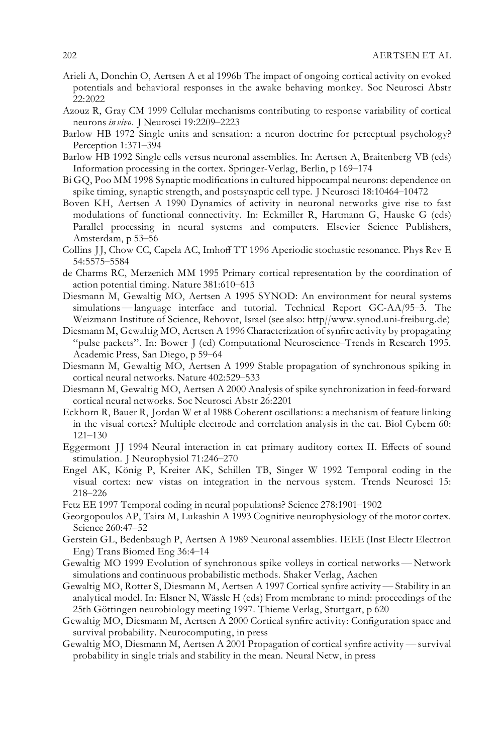- Arieli A, Donchin O, Aertsen A et al 1996b The impact of ongoing cortical activity on evoked potentials and behavioral responses in the awake behaving monkey. Soc Neurosci Abstr 22:2022
- Azouz R, Gray CM 1999 Cellular mechanisms contributing to response variability of cortical neurons in vivo. J Neurosci 19:2209-2223
- Barlow HB 1972 Single units and sensation: a neuron doctrine for perceptual psychology? Perception 1:371-394
- Barlow HB 1992 Single cells versus neuronal assemblies. In: Aertsen A, Braitenberg VB (eds) Information processing in the cortex. Springer-Verlag, Berlin, p 169-174
- Bi GQ, Poo MM 1998 Synaptic modifications in cultured hippocampal neurons: dependence on spike timing, synaptic strength, and postsynaptic cell type. J Neurosci 18:10464-10472
- Boyen KH, Aertsen A 1990 Dynamics of activity in neuronal networks give rise to fast modulations of functional connectivity. In: Eckmiller R, Hartmann G, Hauske G (eds) Parallel processing in neural systems and computers. Elsevier Science Publishers, Amsterdam, p 53-56
- Collins JJ, Chow CC, Capela AC, Imhoff TT 1996 Aperiodic stochastic resonance. Phys Rev E 54:5575-5584
- de Charms RC, Merzenich MM 1995 Primary cortical representation by the coordination of action potential timing. Nature 381:610-613
- Diesmann M, Gewaltig MO, Aertsen A 1995 SYNOD: An environment for neural systems simulations—language interface and tutorial. Technical Report GC-AA/95-3. The Weizmann Institute of Science, Rehovot, Israel (see also: http//www.synod.uni-freiburg.de)
- Diesmann M, Gewaltig MO, Aertsen A 1996 Characterization of synfire activity by propagating "pulse packets". In: Bower J (ed) Computational Neuroscience-Trends in Research 1995. Academic Press, San Diego, p 59-64
- Diesmann M, Gewaltig MO, Aertsen A 1999 Stable propagation of synchronous spiking in cortical neural networks. Nature 402:529-533
- Diesmann M, Gewaltig MO, Aertsen A 2000 Analysis of spike synchronization in feed-forward cortical neural networks. Soc Neurosci Abstr 26:2201
- Eckhorn R, Bauer R, Jordan W et al 1988 Coherent oscillations: a mechanism of feature linking in the visual cortex? Multiple electrode and correlation analysis in the cat. Biol Cybern 60:  $121 - 130$
- Eggermont JJ 1994 Neural interaction in cat primary auditory cortex II. Effects of sound stimulation. J Neurophysiol 71:246-270
- Engel AK, König P, Kreiter AK, Schillen TB, Singer W 1992 Temporal coding in the visual cortex: new vistas on integration in the nervous system. Trends Neurosci 15: 218-226
- Fetz EE 1997 Temporal coding in neural populations? Science 278:1901-1902
- Georgopoulos AP, Taira M, Lukashin A 1993 Cognitive neurophysiology of the motor cortex. Science 260:47-52
- Gerstein GL, Bedenbaugh P, Aertsen A 1989 Neuronal assemblies. IEEE (Inst Electr Electron Eng) Trans Biomed Eng 36:4-14
- Gewaltig MO 1999 Evolution of synchronous spike volleys in cortical networks-Network simulations and continuous probabilistic methods. Shaker Verlag, Aachen
- Gewaltig MO, Rotter S, Diesmann M, Aertsen A 1997 Cortical synfire activity Stability in an analytical model. In: Elsner N, Wässle H (eds) From membrane to mind: proceedings of the 25th Göttingen neurobiology meeting 1997. Thieme Verlag, Stuttgart, p 620
- Gewaltig MO, Diesmann M, Aertsen A 2000 Cortical synfire activity: Configuration space and survival probability. Neurocomputing, in press
- Gewaltig MO, Diesmann M, Aertsen A 2001 Propagation of cortical synfire activity survival probability in single trials and stability in the mean. Neural Netw, in press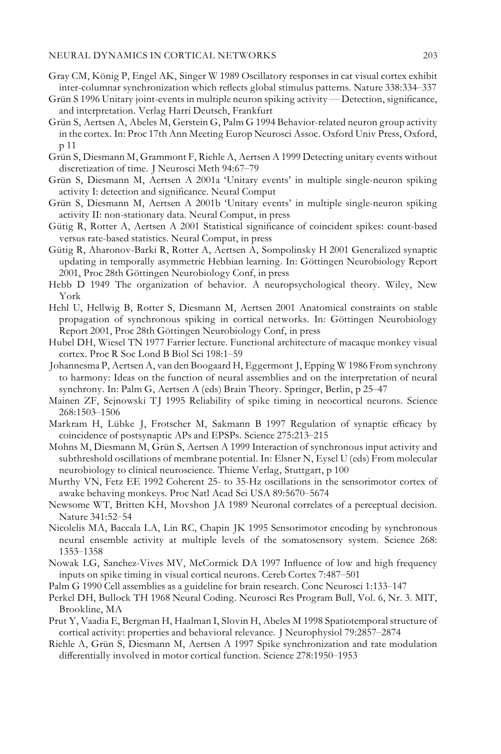- Gray CM, König P, Engel AK, Singer W 1989 Oscillatory responses in cat visual cortex exhibit inter-columnar synchronization which reflects global stimulus patterns. Nature 338:334-337
- Grün S 1996 Unitary joint-events in multiple neuron spiking activity Detection, significance, and interpretation. Verlag Harri Deutsch, Frankfurt
- Grün S, Aertsen A, Abeles M, Gerstein G, Palm G 1994 Behavior-related neuron group activity in the cortex. In: Proc 17th Ann Meeting Europ Neurosci Assoc. Oxford Univ Press, Oxford, p 11
- Grün S, Diesmann M, Grammont F, Riehle A, Aertsen A 1999 Detecting unitary events without discretization of time. J Neurosci Meth 94:67-79
- Grün S, Diesmann M, Aertsen A 2001a 'Unitary events' in multiple single-neuron spiking activity I: detection and significance. Neural Comput
- Grün S, Diesmann M, Aertsen A 2001b 'Unitary events' in multiple single-neuron spiking activity II: non-stationary data. Neural Comput, in press
- Gütig R, Rotter A, Aertsen A 2001 Statistical significance of coincident spikes: count-based versus rate-based statistics. Neural Comput, in press
- Gütig R, Aharonov-Barki R, Rotter A, Aertsen A, Sompolinsky H 2001 Generalized synaptic updating in temporally asymmetric Hebbian learning. In: Göttingen Neurobiology Report 2001, Proc 28th Göttingen Neurobiology Conf, in press
- Hebb D 1949 The organization of behavior. A neuropsychological theory. Wiley, New York
- Hehl U, Hellwig B, Rotter S, Diesmann M, Aertsen 2001 Anatomical constraints on stable propagation of synchronous spiking in cortical networks. In: Göttingen Neurobiology Report 2001, Proc 28th Göttingen Neurobiology Conf, in press
- Hubel DH, Wiesel TN 1977 Farrier lecture. Functional architecture of macaque monkey visual cortex. Proc R Soc Lond B Biol Sci 198:1-59
- Johannesma P, Aertsen A, van den Boogaard H, Eggermont J, Epping W 1986 From synchrony to harmony: Ideas on the function of neural assemblies and on the interpretation of neural synchrony. In: Palm G, Aertsen A (eds) Brain Theory. Springer, Berlin, p 25-47
- Mainen ZF, Sejnowski TJ 1995 Reliability of spike timing in neocortical neurons. Science 268:1503-1506
- Markram H, Lübke J, Frotscher M, Sakmann B 1997 Regulation of synaptic efficacy by coincidence of postsynaptic APs and EPSPs. Science 275:213-215
- Mohns M, Diesmann M, Grün S, Aertsen A 1999 Interaction of synchronous input activity and subthreshold oscillations of membrane potential. In: Elsner N, Eysel U (eds) From molecular neurobiology to clinical neuroscience. Thieme Verlag, Stuttgart, p 100
- Murthy VN, Fetz EE 1992 Coherent 25- to 35-Hz oscillations in the sensorimotor cortex of awake behaving monkeys. Proc Natl Acad Sci USA 89:5670-5674
- Newsome WT, Britten KH, Movshon JA 1989 Neuronal correlates of a perceptual decision. Nature 341:52-54
- Nicolelis MA, Baccala LA, Lin RC, Chapin JK 1995 Sensorimotor encoding by synchronous neural ensemble activity at multiple levels of the somatosensory system. Science 268: 1353-1358
- Nowak LG, Sanchez-Vives MV, McCormick DA 1997 Influence of low and high frequency inputs on spike timing in visual cortical neurons. Cereb Cortex 7:487-501
- Palm G 1990 Cell assemblies as a guideline for brain research. Conc Neurosci 1:133-147
- Perkel DH, Bullock TH 1968 Neural Coding. Neurosci Res Program Bull, Vol. 6, Nr. 3. MIT, Brookline, MA
- Prut Y, Vaadia E, Bergman H, Haalman I, Slovin H, Abeles M 1998 Spatiotemporal structure of cortical activity: properties and behavioral relevance. J Neurophysiol 79:2857-2874
- Riehle A, Grün S, Diesmann M, Aertsen A 1997 Spike synchronization and rate modulation differentially involved in motor cortical function. Science 278:1950-1953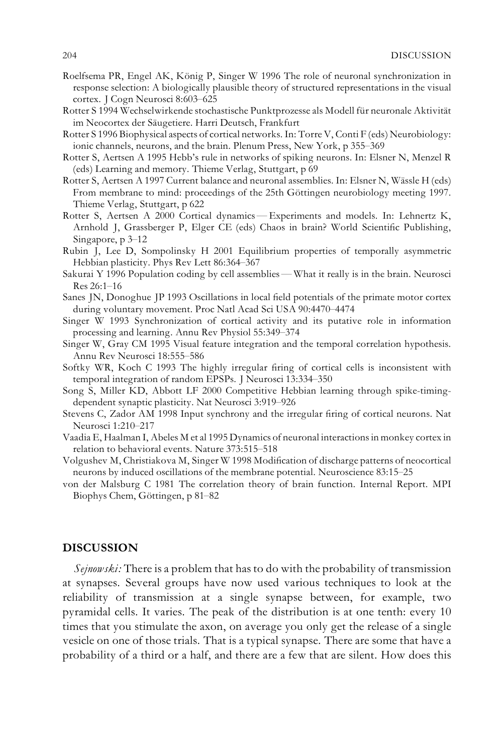- Roelfsema PR, Engel AK, König P, Singer W 1996 The role of neuronal synchronization in response selection: A biologically plausible theory of structured representations in the visual cortex. J Cogn Neurosci 8:603-625
- Rotter S 1994 Wechselwirkende stochastische Punktprozesse als Modell für neuronale Aktivität im Neocortex der Säugetiere. Harri Deutsch. Frankfurt
- Rotter S 1996 Biophysical aspects of cortical networks. In: Torre V, Conti F (eds) Neurobiology: ionic channels, neurons, and the brain. Plenum Press, New York, p 355-369
- Rotter S, Aertsen A 1995 Hebb's rule in networks of spiking neurons. In: Elsner N, Menzel R (eds) Learning and memory. Thieme Verlag, Stuttgart, p 69
- Rotter S, Aertsen A 1997 Current balance and neuronal assemblies. In: Elsner N, Wässle H (eds) From membrane to mind: proceedings of the 25th Göttingen neurobiology meeting 1997. Thieme Verlag, Stuttgart, p 622
- Rotter S, Aertsen A 2000 Cortical dynamics Experiments and models. In: Lehnertz K, Arnhold J, Grassberger P, Elger CE (eds) Chaos in brain? World Scientific Publishing, Singapore, p 3-12
- Rubin J, Lee D, Sompolinsky H 2001 Equilibrium properties of temporally asymmetric Hebbian plasticity. Phys Rev Lett 86:364-367
- Sakurai Y 1996 Population coding by cell assemblies What it really is in the brain. Neurosci Res 26:1-16
- Sanes JN, Donoghue JP 1993 Oscillations in local field potentials of the primate motor cortex during voluntary movement. Proc Natl Acad Sci USA 90:4470-4474
- Singer W 1993 Synchronization of cortical activity and its putative role in information processing and learning. Annu Rev Physiol 55:349-374
- Singer W, Gray CM 1995 Visual feature integration and the temporal correlation hypothesis. Annu Rev Neurosci 18:555-586
- Softky WR, Koch C 1993 The highly irregular firing of cortical cells is inconsistent with temporal integration of random EPSPs. J Neurosci 13:334-350
- Song S, Miller KD, Abbott LF 2000 Competitive Hebbian learning through spike-timingdependent synaptic plasticity. Nat Neurosci 3:919-926
- Stevens C, Zador AM 1998 Input synchrony and the irregular firing of cortical neurons. Nat Neurosci 1:210-217
- Vaadia E, Haalman I, Abeles M et al 1995 Dynamics of neuronal interactions in monkey cortex in relation to behavioral events. Nature 373:515-518
- Volgushev M, Christiakova M, Singer W 1998 Modification of discharge patterns of neocortical neurons by induced oscillations of the membrane potential. Neuroscience 83:15-25
- von der Malsburg C 1981 The correlation theory of brain function. Internal Report. MPI Biophys Chem, Göttingen, p 81-82

# **DISCUSSION**

Sejnowski: There is a problem that has to do with the probability of transmission at synapses. Several groups have now used various techniques to look at the reliability of transmission at a single synapse between, for example, two pyramidal cells. It varies. The peak of the distribution is at one tenth: every 10 times that you stimulate the axon, on average you only get the release of a single vesicle on one of those trials. That is a typical synapse. There are some that have a probability of a third or a half, and there are a few that are silent. How does this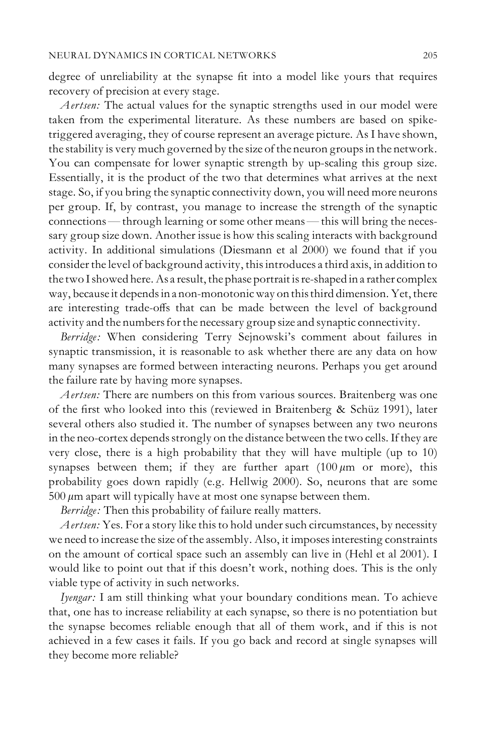degree of unreliability at the synapse fit into a model like yours that requires recovery of precision at every stage.

Aertsen: The actual values for the synaptic strengths used in our model were taken from the experimental literature. As these numbers are based on spiketriggered averaging, they of course represent an average picture. As I have shown, the stability is very much governed by the size of the neuron groups in the network. You can compensate for lower synaptic strength by up-scaling this group size. Essentially, it is the product of the two that determines what arrives at the next stage. So, if you bring the synaptic connectivity down, you will need more neurons per group. If, by contrast, you manage to increase the strength of the synaptic connections—through learning or some other means—this will bring the necessary group size down. Another issue is how this scaling interacts with background activity. In additional simulations (Diesmann et al 2000) we found that if you consider the level of background activity, this introduces a third axis, in addition to the two I showed here. As a result, the phase portrait is re-shaped in a rather complex way, because it depends in a non-monotonic way on this third dimension. Yet, there are interesting trade-offs that can be made between the level of background activity and the numbers for the necessary group size and synaptic connectivity.

Berridge: When considering Terry Sejnowski's comment about failures in synaptic transmission, it is reasonable to ask whether there are any data on how many synapses are formed between interacting neurons. Perhaps you get around the failure rate by having more synapses.

Aertsen: There are numbers on this from various sources. Braitenberg was one of the first who looked into this (reviewed in Braitenberg & Schüz 1991), later several others also studied it. The number of synapses between any two neurons in the neo-cortex depends strongly on the distance between the two cells. If they are very close, there is a high probability that they will have multiple (up to 10) synapses between them; if they are further apart  $(100 \,\mu m)$  or more), this probability goes down rapidly (e.g. Hellwig 2000). So, neurons that are some  $500 \mu m$  apart will typically have at most one synapse between them.

Berridge: Then this probability of failure really matters.

Aertsen: Yes. For a story like this to hold under such circumstances, by necessity we need to increase the size of the assembly. Also, it imposes interesting constraints on the amount of cortical space such an assembly can live in (Hehl et al 2001). I would like to point out that if this doesn't work, nothing does. This is the only viable type of activity in such networks.

Iyengar: I am still thinking what your boundary conditions mean. To achieve that, one has to increase reliability at each synapse, so there is no potentiation but the synapse becomes reliable enough that all of them work, and if this is not achieved in a few cases it fails. If you go back and record at single synapses will they become more reliable?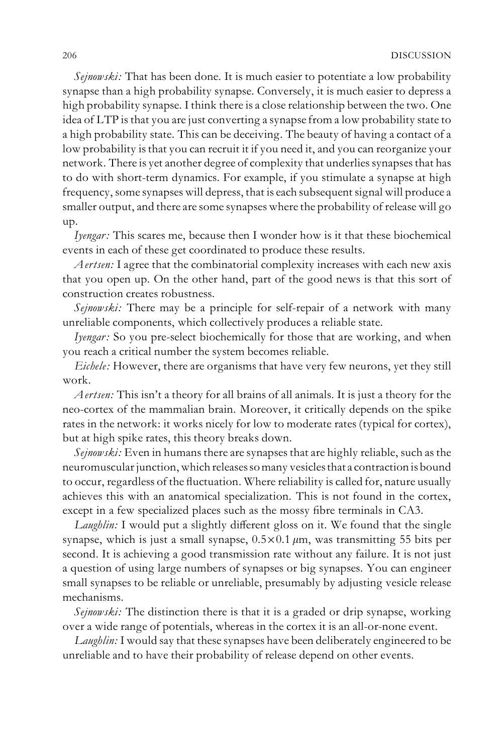Sejnowski: That has been done. It is much easier to potentiate a low probability synapse than a high probability synapse. Conversely, it is much easier to depress a high probability synapse. I think there is a close relationship between the two. One idea of LTP is that you are just converting a synapse from a low probability state to a high probability state. This can be deceiving. The beauty of having a contact of a low probability is that you can recruit it if you need it, and you can reorganize your network. There is yet another degree of complexity that underlies synapses that has to do with short-term dynamics. For example, if you stimulate a synapse at high frequency, some synapses will depress, that is each subsequent signal will produce a smaller output, and there are some synapses where the probability of release will go up.

Iyengar: This scares me, because then I wonder how is it that these biochemical events in each of these get coordinated to produce these results.

Aertsen: I agree that the combinatorial complexity increases with each new axis that you open up. On the other hand, part of the good news is that this sort of construction creates robustness.

Sejnowski: There may be a principle for self-repair of a network with many unreliable components, which collectively produces a reliable state.

Iyengar: So you pre-select biochemically for those that are working, and when you reach a critical number the system becomes reliable.

Eichele: However, there are organisms that have very few neurons, yet they still work.

Aertsen: This isn't a theory for all brains of all animals. It is just a theory for the neo-cortex of the mammalian brain. Moreover, it critically depends on the spike rates in the network: it works nicely for low to moderate rates (typical for cortex), but at high spike rates, this theory breaks down.

Sejnowski: Even in humans there are synapses that are highly reliable, such as the neuromuscular junction, which releases so many vesicles that a contraction is bound to occur, regardless of the fluctuation. Where reliability is called for, nature usually achieves this with an anatomical specialization. This is not found in the cortex, except in a few specialized places such as the mossy fibre terminals in CA3.

Laughlin: I would put a slightly different gloss on it. We found that the single synapse, which is just a small synapse,  $0.5 \times 0.1 \mu m$ , was transmitting 55 bits per second. It is achieving a good transmission rate without any failure. It is not just a question of using large numbers of synapses or big synapses. You can engineer small synapses to be reliable or unreliable, presumably by adjusting vesicle release mechanisms.

Sejnowski: The distinction there is that it is a graded or drip synapse, working over a wide range of potentials, whereas in the cortex it is an all-or-none event.

Laughlin: I would say that these synapses have been deliberately engineered to be unreliable and to have their probability of release depend on other events.